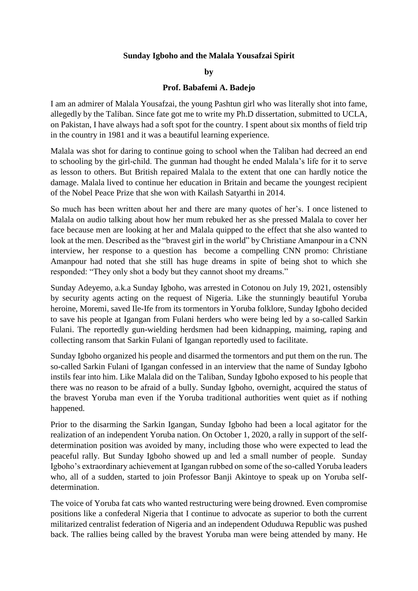## **Sunday Igboho and the Malala Yousafzai Spirit**

## **by**

## **Prof. Babafemi A. Badejo**

I am an admirer of Malala Yousafzai, the young Pashtun girl who was literally shot into fame, allegedly by the Taliban. Since fate got me to write my Ph.D dissertation, submitted to UCLA, on Pakistan, I have always had a soft spot for the country. I spent about six months of field trip in the country in 1981 and it was a beautiful learning experience.

Malala was shot for daring to continue going to school when the Taliban had decreed an end to schooling by the girl-child. The gunman had thought he ended Malala's life for it to serve as lesson to others. But British repaired Malala to the extent that one can hardly notice the damage. Malala lived to continue her education in Britain and became the youngest recipient of the Nobel Peace Prize that she won with Kailash Satyarthi in 2014.

So much has been written about her and there are many quotes of her's. I once listened to Malala on audio talking about how her mum rebuked her as she pressed Malala to cover her face because men are looking at her and Malala quipped to the effect that she also wanted to look at the men. Described as the "bravest girl in the world" by Christiane Amanpour in a CNN interview, her response to a question has become a compelling CNN promo: Christiane Amanpour had noted that she still has huge dreams in spite of being shot to which she responded: "They only shot a body but they cannot shoot my dreams."

Sunday Adeyemo, a.k.a Sunday Igboho, was arrested in Cotonou on July 19, 2021, ostensibly by security agents acting on the request of Nigeria. Like the stunningly beautiful Yoruba heroine, Moremi, saved Ile-Ife from its tormentors in Yoruba folklore, Sunday Igboho decided to save his people at Igangan from Fulani herders who were being led by a so-called Sarkin Fulani. The reportedly gun-wielding herdsmen had been kidnapping, maiming, raping and collecting ransom that Sarkin Fulani of Igangan reportedly used to facilitate.

Sunday Igboho organized his people and disarmed the tormentors and put them on the run. The so-called Sarkin Fulani of Igangan confessed in an interview that the name of Sunday Igboho instils fear into him. Like Malala did on the Taliban, Sunday Igboho exposed to his people that there was no reason to be afraid of a bully. Sunday Igboho, overnight, acquired the status of the bravest Yoruba man even if the Yoruba traditional authorities went quiet as if nothing happened.

Prior to the disarming the Sarkin Igangan, Sunday Igboho had been a local agitator for the realization of an independent Yoruba nation. On October 1, 2020, a rally in support of the selfdetermination position was avoided by many, including those who were expected to lead the peaceful rally. But Sunday Igboho showed up and led a small number of people. Sunday Igboho's extraordinary achievement at Igangan rubbed on some of the so-called Yoruba leaders who, all of a sudden, started to join Professor Banji Akintoye to speak up on Yoruba selfdetermination.

The voice of Yoruba fat cats who wanted restructuring were being drowned. Even compromise positions like a confederal Nigeria that I continue to advocate as superior to both the current militarized centralist federation of Nigeria and an independent Oduduwa Republic was pushed back. The rallies being called by the bravest Yoruba man were being attended by many. He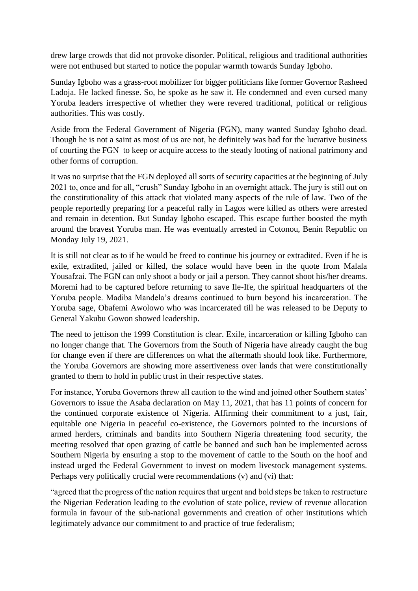drew large crowds that did not provoke disorder. Political, religious and traditional authorities were not enthused but started to notice the popular warmth towards Sunday Igboho.

Sunday Igboho was a grass-root mobilizer for bigger politicians like former Governor Rasheed Ladoja. He lacked finesse. So, he spoke as he saw it. He condemned and even cursed many Yoruba leaders irrespective of whether they were revered traditional, political or religious authorities. This was costly.

Aside from the Federal Government of Nigeria (FGN), many wanted Sunday Igboho dead. Though he is not a saint as most of us are not, he definitely was bad for the lucrative business of courting the FGN to keep or acquire access to the steady looting of national patrimony and other forms of corruption.

It was no surprise that the FGN deployed all sorts of security capacities at the beginning of July 2021 to, once and for all, "crush" Sunday Igboho in an overnight attack. The jury is still out on the constitutionality of this attack that violated many aspects of the rule of law. Two of the people reportedly preparing for a peaceful rally in Lagos were killed as others were arrested and remain in detention. But Sunday Igboho escaped. This escape further boosted the myth around the bravest Yoruba man. He was eventually arrested in Cotonou, Benin Republic on Monday July 19, 2021.

It is still not clear as to if he would be freed to continue his journey or extradited. Even if he is exile, extradited, jailed or killed, the solace would have been in the quote from Malala Yousafzai. The FGN can only shoot a body or jail a person. They cannot shoot his/her dreams. Moremi had to be captured before returning to save Ile-Ife, the spiritual headquarters of the Yoruba people. Madiba Mandela's dreams continued to burn beyond his incarceration. The Yoruba sage, Obafemi Awolowo who was incarcerated till he was released to be Deputy to General Yakubu Gowon showed leadership.

The need to jettison the 1999 Constitution is clear. Exile, incarceration or killing Igboho can no longer change that. The Governors from the South of Nigeria have already caught the bug for change even if there are differences on what the aftermath should look like. Furthermore, the Yoruba Governors are showing more assertiveness over lands that were constitutionally granted to them to hold in public trust in their respective states.

For instance, Yoruba Governors threw all caution to the wind and joined other Southern states' Governors to issue the Asaba declaration on May 11, 2021, that has 11 points of concern for the continued corporate existence of Nigeria. Affirming their commitment to a just, fair, equitable one Nigeria in peaceful co-existence, the Governors pointed to the incursions of armed herders, criminals and bandits into Southern Nigeria threatening food security, the meeting resolved that open grazing of cattle be banned and such ban be implemented across Southern Nigeria by ensuring a stop to the movement of cattle to the South on the hoof and instead urged the Federal Government to invest on modern livestock management systems. Perhaps very politically crucial were recommendations (v) and (vi) that:

"agreed that the progress of the nation requires that urgent and bold steps be taken to restructure the Nigerian Federation leading to the evolution of state police, review of revenue allocation formula in favour of the sub-national governments and creation of other institutions which legitimately advance our commitment to and practice of true federalism;